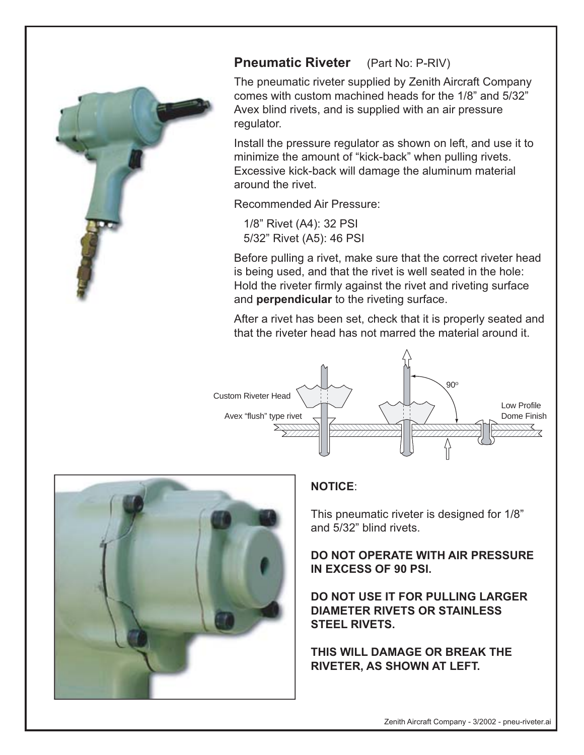

## **Pneumatic Riveter** (Part No: P-RIV)

The pneumatic riveter supplied by Zenith Aircraft Company comes with custom machined heads for the 1/8" and 5/32" Avex blind rivets, and is supplied with an air pressure regulator.

Install the pressure regulator as shown on left, and use it to minimize the amount of "kick-back" when pulling rivets. Excessive kick-back will damage the aluminum material around the rivet.

Recommended Air Pressure:

 1/8" Rivet (A4): 32 PSI 5/32" Rivet (A5): 46 PSI

Before pulling a rivet, make sure that the correct riveter head is being used, and that the rivet is well seated in the hole: Hold the riveter firmly against the rivet and riveting surface and **perpendicular** to the riveting surface.

After a rivet has been set, check that it is properly seated and that the riveter head has not marred the material around it.





## **NOTICE**:

This pneumatic riveter is designed for 1/8" and 5/32" blind rivets.

**DO NOT OPERATE WITH AIR PRESSURE IN EXCESS OF 90 PSI.**

**DO NOT USE IT FOR PULLING LARGER DIAMETER RIVETS OR STAINLESS STEEL RIVETS.** 

**THIS WILL DAMAGE OR BREAK THE RIVETER, AS SHOWN AT LEFT.**